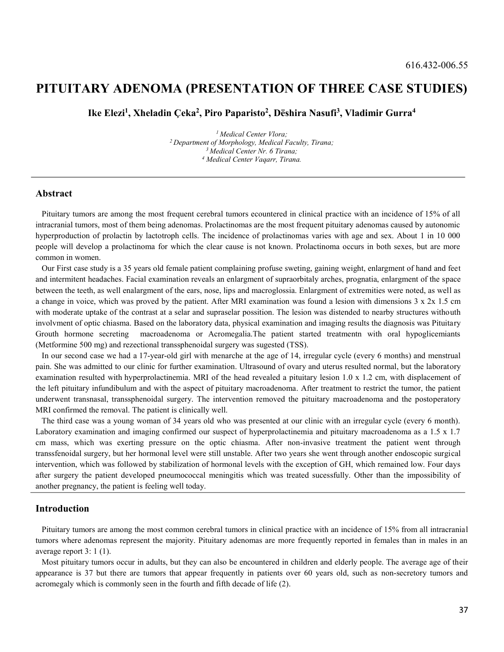# PITUITARY ADENOMA (PRESENTATION OF THREE CASE STUDIES)

Ike Elezi<sup>1</sup>, Xheladin Çeka<sup>2</sup>, Piro Paparisto<sup>2</sup>, Dëshira Nasufi<sup>3</sup>, Vladimir Gurra<sup>4</sup>

<sup>1</sup> Medical Center Vlora;<br><sup>2</sup> Department of Morphology, Medical Faculty, Tirana;<br><sup>3</sup> Medical Center Nr. 6 Tirana; Medical Center Vaqarr, Tirana.

#### Abstract

Pituitary tumors are among the most frequent cerebral tumors ecountered in clinical practice with an incidence of 15% of all intracranial tumors, most of them being adenomas. Prolactinomas are the most frequent pituitary adenomas caused by autonomic hyperproduction of prolactin by lactotroph cells. The incidence of prolactinomas varies with age and sex. About 1 in 10 000 people will develop a prolactinoma for which the clear cause is not known. Prolactinoma occurs in both sexes, but are more common in women.

Our First case study is a 35 years old female patient complaining profuse sweting, gaining weight, enlargment of hand and feet and intermitent headaches. Facial examination reveals an enlargment of supraorbitaly arches, prognatia, enlargment of the space between the teeth, as well enalargment of the ears, nose, lips and macroglossia. Enlargment of extremities were noted, as well as a change in voice, which was proved by the patient. After MRI examination was found a lesion with dimensions 3 x 2x 1.5 cm with moderate uptake of the contrast at a selar and supraselar possition. The lesion was distended to nearby structures withouth involvment of optic chiasma. Based on the laboratory data, physical examination and imaging results the diagnosis was Pituitary Grouth hormone secreting macroadenoma or Acromegalia.The patient started treatmentn with oral hypoglicemiants (Metformine 500 mg) and rezectional transsphenoidal surgery was sugested (TSS).

In our second case we had a 17-year-old girl with menarche at the age of 14, irregular cycle (every 6 months) and menstrual pain. She was admitted to our clinic for further examination. Ultrasound of ovary and uterus resulted normal, but the laboratory examination resulted with hyperprolactinemia. MRI of the head revealed a pituitary lesion 1.0 x 1.2 cm, with displacement of the left pituitary infundibulum and with the aspect of pituitary macroadenoma. After treatment to restrict the tumor, the patient underwent transnasal, transsphenoidal surgery. The intervention removed the pituitary macroadenoma and the postoperatory MRI confirmed the removal. The patient is clinically well.

The third case was a young woman of 34 years old who was presented at our clinic with an irregular cycle (every 6 month). Laboratory examination and imaging confirmed our suspect of hyperprolactinemia and pituitary macroadenoma as a 1.5 x 1.7 cm mass, which was exerting pressure on the optic chiasma. After non-invasive treatment the patient went through transsfenoidal surgery, but her hormonal level were still unstable. After two years she went through another endoscopic surgical intervention, which was followed by stabilization of hormonal levels with the exception of GH, which remained low. Four days after surgery the patient developed pneumococcal meningitis which was treated sucessfully. Other than the impossibility of another pregnancy, the patient is feeling well today.

#### Introduction

Pituitary tumors are among the most common cerebral tumors in clinical practice with an incidence of 15% from all intracranial tumors where adenomas represent the majority. Pituitary adenomas are more frequently reported in females than in males in an average report 3: 1 (1).

Most pituitary tumors occur in adults, but they can also be encountered in children and elderly people. The average age of their appearance is 37 but there are tumors that appear frequently in patients over 60 years old, such as non-secretory tumors and acromegaly which is commonly seen in the fourth and fifth decade of life (2).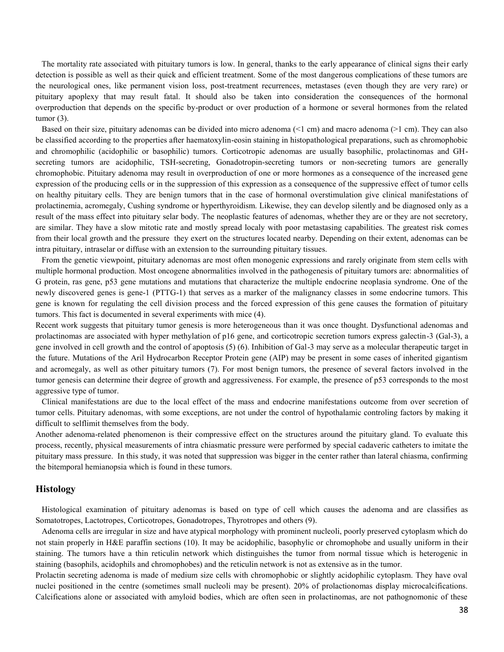The mortality rate associated with pituitary tumors is low. In general, thanks to the early appearance of clinical signs their early detection is possible as well as their quick and efficient treatment. Some of the most dangerous complications of these tumors are the neurological ones, like permanent vision loss, post-treatment recurrences, metastases (even though they are very rare) or pituitary apoplexy that may result fatal. It should also be taken into consideration the consequences of the hormonal overproduction that depends on the specific by-product or over production of a hormone or several hormones from the related tumor (3).

Based on their size, pituitary adenomas can be divided into micro adenoma (<1 cm) and macro adenoma (>1 cm). They can also be classified according to the properties after haematoxylin-eosin staining in histopathological preparations, such as chromophobic and chromophilic (acidophilic or basophilic) tumors. Corticotropic adenomas are usually basophilic, prolactinomas and GHsecreting tumors are acidophilic, TSH-secreting, Gonadotropin-secreting tumors or non-secreting tumors are generally chromophobic. Pituitary adenoma may result in overproduction of one or more hormones as a consequence of the increased gene expression of the producing cells or in the suppression of this expression as a consequence of the suppressive effect of tumor cells on healthy pituitary cells. They are benign tumors that in the case of hormonal overstimulation give clinical manifestations of prolactinemia, acromegaly, Cushing syndrome or hyperthyroidism. Likewise, they can develop silently and be diagnosed only as a result of the mass effect into pituitary selar body. The neoplastic features of adenomas, whether they are or they are not secretory, are similar. They have a slow mitotic rate and mostly spread localy with poor metastasing capabilities. The greatest risk comes from their local growth and the pressure they exert on the structures located nearby. Depending on their extent, adenomas can be intra pituitary, intraselar or diffuse with an extension to the surrounding pituitary tissues.

From the genetic viewpoint, pituitary adenomas are most often monogenic expressions and rarely originate from stem cells with multiple hormonal production. Most oncogene abnormalities involved in the pathogenesis of pituitary tumors are: abnormalities of G protein, ras gene, p53 gene mutations and mutations that characterize the multiple endocrine neoplasia syndrome. One of the newly discovered genes is gene-1 (PTTG-1) that serves as a marker of the malignancy classes in some endocrine tumors. This gene is known for regulating the cell division process and the forced expression of this gene causes the formation of pituitary tumors. This fact is documented in several experiments with mice (4).

Recent work suggests that pituitary tumor genesis is more heterogeneous than it was once thought. Dysfunctional adenomas and prolactinomas are associated with hyper methylation of p16 gene, and corticotropic secretion tumors express galectin-3 (Gal-3), a gene involved in cell growth and the control of apoptosis (5) (6). Inhibition of Gal-3 may serve as a molecular therapeutic target in the future. Mutations of the Aril Hydrocarbon Receptor Protein gene (AIP) may be present in some cases of inherited gigantism and acromegaly, as well as other pituitary tumors (7). For most benign tumors, the presence of several factors involved in the tumor genesis can determine their degree of growth and aggressiveness. For example, the presence of p53 corresponds to the most aggressive type of tumor.

Clinical manifestations are due to the local effect of the mass and endocrine manifestations outcome from over secretion of tumor cells. Pituitary adenomas, with some exceptions, are not under the control of hypothalamic controling factors by making it difficult to selflimit themselves from the body.

Another adenoma-related phenomenon is their compressive effect on the structures around the pituitary gland. To evaluate this process, recently, physical measurements of intra chiasmatic pressure were performed by special cadaveric catheters to imitate the pituitary mass pressure. In this study, it was noted that suppression was bigger in the center rather than lateral chiasma, confirming the bitemporal hemianopsia which is found in these tumors.

#### Histology

Histological examination of pituitary adenomas is based on type of cell which causes the adenoma and are classifies as Somatotropes, Lactotropes, Corticotropes, Gonadotropes, Thyrotropes and others (9).

Adenoma cells are irregular in size and have atypical morphology with prominent nucleoli, poorly preserved cytoplasm which do not stain properly in H&E paraffin sections (10). It may be acidophilic, basophylic or chromophobe and usually uniform in their staining. The tumors have a thin reticulin network which distinguishes the tumor from normal tissue which is heterogenic in staining (basophils, acidophils and chromophobes) and the reticulin network is not as extensive as in the tumor.

Prolactin secreting adenoma is made of medium size cells with chromophobic or slightly acidophilic cytoplasm. They have oval nuclei positioned in the centre (sometimes small nucleoli may be present). 20% of prolactionomas display microcalcifications. Calcifications alone or associated with amyloid bodies, which are often seen in prolactinomas, are not pathognomonic of these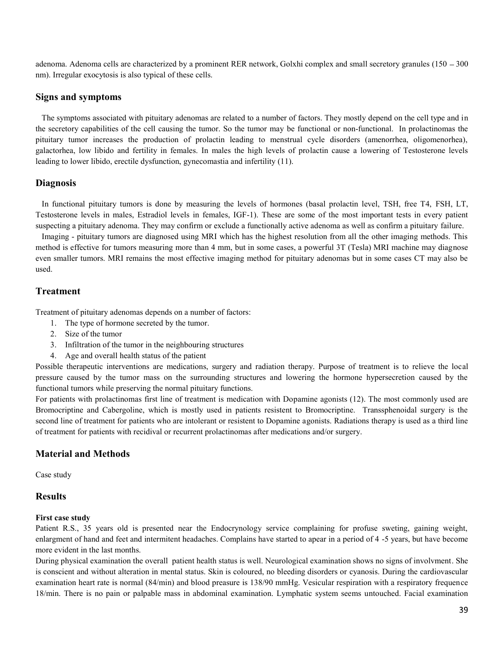adenoma. Adenoma cells are characterized by a prominent RER network, Golxhi complex and small secretory granules (150 - 300 nm). Irregular exocytosis is also typical of these cells.

### Signs and symptoms

The symptoms associated with pituitary adenomas are related to a number of factors. They mostly depend on the cell type and in the secretory capabilities of the cell causing the tumor. So the tumor may be functional or non-functional. In prolactinomas the pituitary tumor increases the production of prolactin leading to menstrual cycle disorders (amenorrhea, oligomenorhea), galactorhea, low libido and fertility in females. In males the high levels of prolactin cause a lowering of Testosterone levels leading to lower libido, erectile dysfunction, gynecomastia and infertility (11).

## **Diagnosis**

In functional pituitary tumors is done by measuring the levels of hormones (basal prolactin level, TSH, free T4, FSH, LT, Testosterone levels in males, Estradiol levels in females, IGF-1). These are some of the most important tests in every patient suspecting a pituitary adenoma. They may confirm or exclude a functionally active adenoma as well as confirm a pituitary failure.

Imaging - pituitary tumors are diagnosed using MRI which has the highest resolution from all the other imaging methods. This method is effective for tumors measuring more than 4 mm, but in some cases, a powerful 3T (Tesla) MRI machine may diagnose even smaller tumors. MRI remains the most effective imaging method for pituitary adenomas but in some cases CT may also be used.

## Treatment

Treatment of pituitary adenomas depends on a number of factors:

- 1. The type of hormone secreted by the tumor.
- 2. Size of the tumor
- 3. Infiltration of the tumor in the neighbouring structures
- 4. Age and overall health status of the patient

Possible therapeutic interventions are medications, surgery and radiation therapy. Purpose of treatment is to relieve the local pressure caused by the tumor mass on the surrounding structures and lowering the hormone hypersecretion caused by the functional tumors while preserving the normal pituitary functions.

For patients with prolactinomas first line of treatment is medication with Dopamine agonists (12). The most commonly used are Bromocriptine and Cabergoline, which is mostly used in patients resistent to Bromocriptine. Transsphenoidal surgery is the second line of treatment for patients who are intolerant or resistent to Dopamine agonists. Radiations therapy is used as a third line of treatment for patients with recidival or recurrent prolactinomas after medications and/or surgery.

### Material and Methods

Case study

### **Results**

#### First case study

Patient R.S., 35 years old is presented near the Endocrynology service complaining for profuse sweting, gaining weight, enlargment of hand and feet and intermitent headaches. Complains have started to apear in a period of 4 -5 years, but have become more evident in the last months.

During physical examination the overall patient health status is well. Neurological examination shows no signs of involvment. She is conscient and without alteration in mental status. Skin is coloured, no bleeding disorders or cyanosis. During the cardiovascular examination heart rate is normal (84/min) and blood preasure is 138/90 mmHg. Vesicular respiration with a respiratory frequence 18/min. There is no pain or palpable mass in abdominal examination. Lymphatic system seems untouched. Facial examination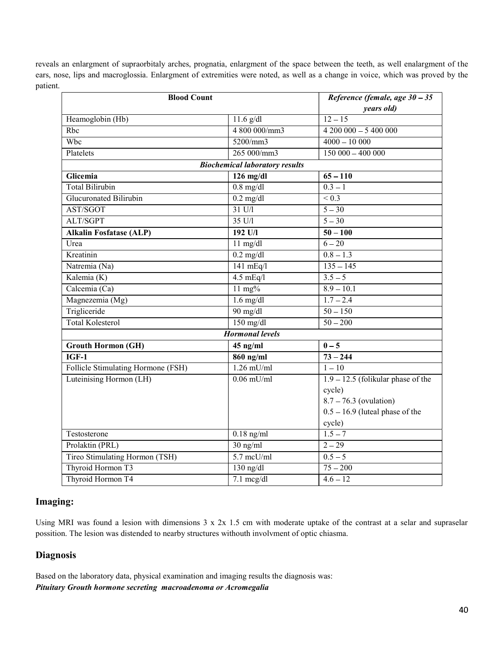reveals an enlargment of supraorbitaly arches, prognatia, enlargment of the space between the teeth, as well enalargment of the ears, nose, lips and macroglossia. Enlargment of extremities were noted, as well as a change in voice, which was proved by the patient.

| <b>Blood Count</b>                    |                     | Reference (female, age $30 - 35$     |
|---------------------------------------|---------------------|--------------------------------------|
|                                       |                     | years old)                           |
| Heamoglobin (Hb)                      | $11.6$ g/dl         | $12 - 15$                            |
| Rbc                                   | 4 800 000/mm3       | $4200000 - 5400000$                  |
| Wbc                                   | 5200/mm3            | $4000 - 10000$                       |
| Platelets                             | 265 000/mm3         | $150000 - 400000$                    |
| <b>Biochemical laboratory results</b> |                     |                                      |
| Glicemia                              | $126$ mg/dl         | $65 - 110$                           |
| Total Bilirubin                       | $0.8$ mg/dl         | $0.3 - 1$                            |
| Glucuronated Bilirubin                | $0.2$ mg/dl         | ${}_{0.3}$                           |
| AST/SGOT                              | $31 \text{ U/l}$    | $5 - 30$                             |
| ALT/SGPT                              | 35 U/I              | $5 - 30$                             |
| <b>Alkalin Fosfatase (ALP)</b>        | 192 U/l             | $50 - 100$                           |
| Urea                                  | $11$ mg/dl          | $6 - 20$                             |
| Kreatinin                             | $0.2$ mg/dl         | $\overline{0.8} - 1.3$               |
| Natremia (Na)                         | $141$ mEq/l         | $135 - 145$                          |
| Kalemia (K)                           | $4.5$ mEq/l         | $3.5 - 5$                            |
| Calcemia (Ca)                         | $11 \text{ mg}$ %   | $8.9 - 10.1$                         |
| Magnezemia (Mg)                       | $1.6 \text{ mg/dl}$ | $1.7 - 2.4$                          |
| Trigliceride                          | 90 mg/dl            | $50 - 150$                           |
| <b>Total Kolesterol</b>               | $150$ mg/dl         | $50 - 200$                           |
| <b>Hormonal levels</b>                |                     |                                      |
| <b>Grouth Hormon (GH)</b>             | $45$ ng/ml          | $0-5$                                |
| $IGF-1$                               | $860$ ng/ml         | $73 - 244$                           |
| Follicle Stimulating Hormone (FSH)    | $1.26$ mU/ml        | $1 - 10$                             |
| Luteinising Hormon (LH)               | $0.06$ mU/ml        | $1.9 - 12.5$ (folikular phase of the |
|                                       |                     | cycle)                               |
|                                       |                     | $8.7 - 76.3$ (ovulation)             |
|                                       |                     | $0.5 - 16.9$ (luteal phase of the    |
|                                       |                     | cycle)                               |
| Testosterone                          | $0.18$ ng/ml        | $1.5 - 7$                            |
| Prolaktin (PRL)                       | 30 ng/ml            | $2 - 29$                             |
| Tireo Stimulating Hormon (TSH)        | $5.7$ mcU/ml        | $0.5 - 5$                            |
| Thyroid Hormon T3                     | $130$ ng/dl         | $75 - 200$                           |
| Thyroid Hormon T4                     | $7.1 \text{~mg/dl}$ | $4.6 - 12$                           |

## Imaging:

Using MRI was found a lesion with dimensions 3 x 2x 1.5 cm with moderate uptake of the contrast at a selar and supraselar possition. The lesion was distended to nearby structures withouth involvment of optic chiasma.

## **Diagnosis**

Based on the laboratory data, physical examination and imaging results the diagnosis was: Pituitary Grouth hormone secreting macroadenoma or Acromegalia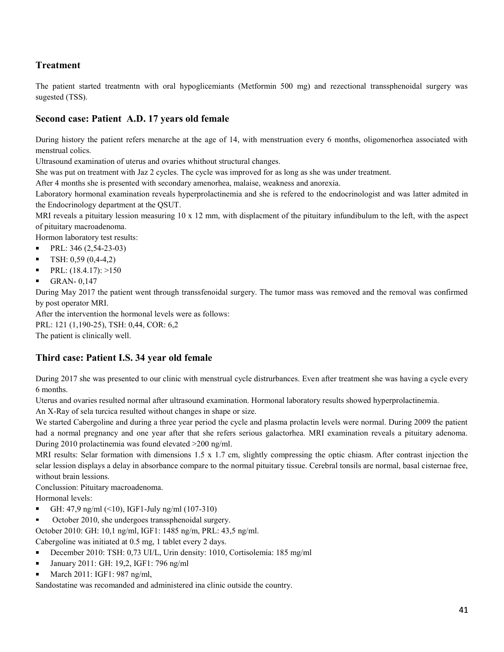## Treatment

The patient started treatmentn with oral hypoglicemiants (Metformin 500 mg) and rezectional transsphenoidal surgery was sugested (TSS).

## Second case: Patient A.D. 17 years old female

During history the patient refers menarche at the age of 14, with menstruation every 6 months, oligomenorhea associated with menstrual colics.

Ultrasound examination of uterus and ovaries whithout structural changes.

She was put on treatment with Jaz 2 cycles. The cycle was improved for as long as she was under treatment.

After 4 months she is presented with secondary amenorhea, malaise, weakness and anorexia.

Laboratory hormonal examination reveals hyperprolactinemia and she is refered to the endocrinologist and was latter admited in the Endocrinology department at the QSUT.

MRI reveals a pituitary lession measuring 10 x 12 mm, with displacment of the pituitary infundibulum to the left, with the aspect of pituitary macroadenoma.

Hormon laboratory test results:

- PRL: 346 (2,54-23-03)  $\blacksquare$
- $\blacksquare$ TSH: 0,59 (0,4-4,2)
- $\blacksquare$ PRL: (18.4.17): >150
- $\blacksquare$ GRAN- 0,147

During May 2017 the patient went through transsfenoidal surgery. The tumor mass was removed and the removal was confirmed by post operator MRI.

After the intervention the hormonal levels were as follows:

PRL: 121 (1,190-25), TSH: 0,44, COR: 6,2

The patient is clinically well.

## Third case: Patient I.S. 34 year old female

During 2017 she was presented to our clinic with menstrual cycle distrurbances. Even after treatment she was having a cycle every 6 months.

Uterus and ovaries resulted normal after ultrasound examination. Hormonal laboratory results showed hyperprolactinemia.

An X-Ray of sela turcica resulted without changes in shape or size.

We started Cabergoline and during a three year period the cycle and plasma prolactin levels were normal. During 2009 the patient had a normal pregnancy and one year after that she refers serious galactorhea. MRI examination reveals a pituitary adenoma. During 2010 prolactinemia was found elevated >200 ng/ml.

MRI results: Selar formation with dimensions 1.5 x 1.7 cm, slightly compressing the optic chiasm. After contrast injection the selar lession displays a delay in absorbance compare to the normal pituitary tissue. Cerebral tonsils are normal, basal cisternae free, without brain lessions.

Conclussion: Pituitary macroadenoma.

Hormonal levels:

- GH: 47,9 ng/ml (<10), IGF1-July ng/ml (107-310)
- October 2010, she undergoes transsphenoidal surgery.

October 2010: GH: 10,1 ng/ml, IGF1: 1485 ng/m, PRL: 43,5 ng/ml.

Cabergoline was initiated at 0.5 mg, 1 tablet every 2 days.

- December 2010: TSH: 0,73 UI/L, Urin density: 1010, Cortisolemia: 185 mg/ml
- $\blacksquare$ January 2011: GH: 19,2, IGF1: 796 ng/ml
- March 2011: IGF1: 987 ng/ml,

Sandostatine was recomanded and administered ina clinic outside the country.